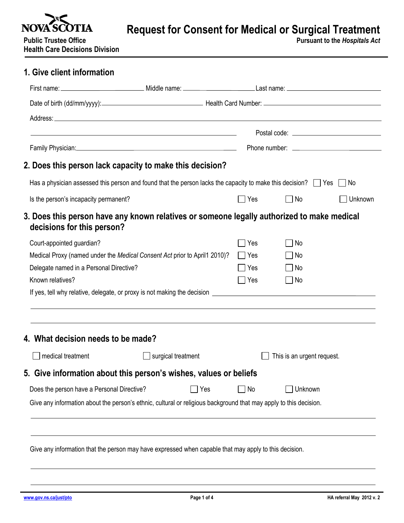

**Request for Consent for Medical or Surgical Treatment** 

**Public Trustee Office Pursuant to the** *Hospitals Act* **Health Care Decisions Division**

| 1. Give client information                                                                                                    |                                                                                                                |            |                            |         |  |
|-------------------------------------------------------------------------------------------------------------------------------|----------------------------------------------------------------------------------------------------------------|------------|----------------------------|---------|--|
|                                                                                                                               |                                                                                                                |            |                            |         |  |
|                                                                                                                               |                                                                                                                |            |                            |         |  |
|                                                                                                                               |                                                                                                                |            |                            |         |  |
|                                                                                                                               |                                                                                                                |            |                            |         |  |
|                                                                                                                               | Family Physician: 1999 - 2008 - 2014 - 2014 - 2014 - 2014 - 2014 - 2014 - 2014 - 2014 - 2014 - 2014 - 2014 - 2 |            |                            |         |  |
|                                                                                                                               |                                                                                                                |            |                            |         |  |
| 2. Does this person lack capacity to make this decision?                                                                      |                                                                                                                |            |                            |         |  |
| Has a physician assessed this person and found that the person lacks the capacity to make this decision? $\Box$ Yes $\Box$ No |                                                                                                                |            |                            |         |  |
| Is the person's incapacity permanent?                                                                                         |                                                                                                                | <b>Yes</b> | No                         | Unknown |  |
| 3. Does this person have any known relatives or someone legally authorized to make medical<br>decisions for this person?      |                                                                                                                |            |                            |         |  |
| Court-appointed guardian?                                                                                                     |                                                                                                                | Yes        | No                         |         |  |
| Medical Proxy (named under the Medical Consent Act prior to April1 2010)?                                                     |                                                                                                                | ∣ Yes      | No                         |         |  |
| Delegate named in a Personal Directive?                                                                                       |                                                                                                                | ∣ Yes      | $\Box$ No                  |         |  |
| Known relatives?                                                                                                              |                                                                                                                | Yes        | No                         |         |  |
|                                                                                                                               |                                                                                                                |            |                            |         |  |
| 4. What decision needs to be made?                                                                                            |                                                                                                                |            |                            |         |  |
| medical treatment                                                                                                             | $\Box$ surgical treatment                                                                                      |            | This is an urgent request. |         |  |
|                                                                                                                               |                                                                                                                |            |                            |         |  |
|                                                                                                                               |                                                                                                                |            |                            |         |  |
| 5. Give information about this person's wishes, values or beliefs<br>Does the person have a Personal Directive?               | $\Box$ Yes                                                                                                     | No         | Unknown                    |         |  |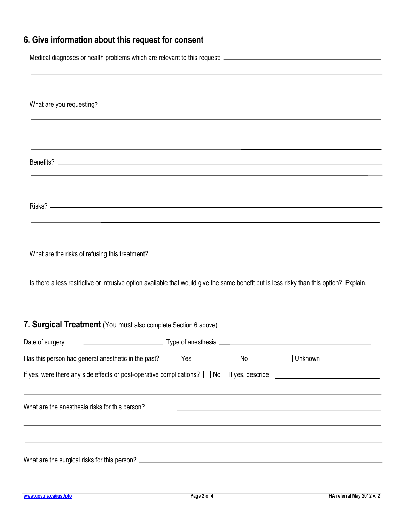## **6. Give information about this request for consent**

| <u> 1989 - Johann Stoff, deutscher Stoffen und der Stoffen und der Stoffen und der Stoffen und der Stoffen und de</u>                           |            |    |         |  |
|-------------------------------------------------------------------------------------------------------------------------------------------------|------------|----|---------|--|
|                                                                                                                                                 |            |    |         |  |
| ,我们也不能在这里的时候,我们也不能在这里的时候,我们也不能会不能会不能会不能会不能会不能会不能会不能会不能会不能会。<br>第2012章 我们的时候,我们的时候,我们的时候,我们的时候,我们的时候,我们的时候,我们的时候,我们的时候,我们的时候,我们的时候,我们的时候,我们的时候,我 |            |    |         |  |
|                                                                                                                                                 |            |    |         |  |
| Is there a less restrictive or intrusive option available that would give the same benefit but is less risky than this option? Explain.         |            |    |         |  |
| 7. Surgical Treatment (You must also complete Section 6 above)                                                                                  |            |    |         |  |
|                                                                                                                                                 |            |    |         |  |
| Has this person had general anesthetic in the past?<br>If yes, were there any side effects or post-operative complications? □ No                | $\Box$ Yes | No | Unknown |  |
|                                                                                                                                                 |            |    |         |  |
|                                                                                                                                                 |            |    |         |  |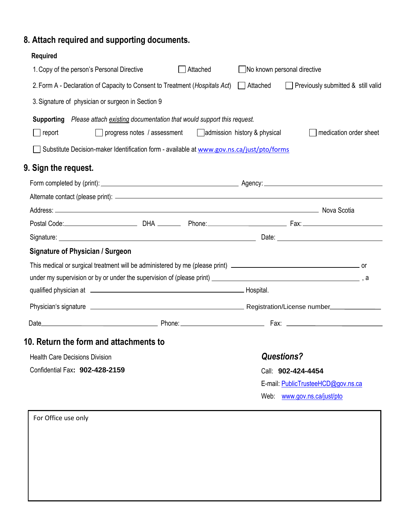## **8. Attach required and supporting documents.**

| <b>Required</b>                                                                                   |                             |          |                              |                                    |  |
|---------------------------------------------------------------------------------------------------|-----------------------------|----------|------------------------------|------------------------------------|--|
| 1. Copy of the person's Personal Directive                                                        |                             | Attached | No known personal directive  |                                    |  |
| 2. Form A - Declaration of Capacity to Consent to Treatment (Hospitals Act)   Attached            |                             |          |                              | Previously submitted & still valid |  |
| 3. Signature of physician or surgeon in Section 9                                                 |                             |          |                              |                                    |  |
| <b>Supporting</b> Please attach existing documentation that would support this request.<br>report | progress notes / assessment |          | admission history & physical | medication order sheet             |  |
| Substitute Decision-maker Identification form - available at www.gov.ns.ca/just/pto/forms         |                             |          |                              |                                    |  |
| 9. Sign the request.                                                                              |                             |          |                              |                                    |  |
|                                                                                                   |                             |          |                              |                                    |  |
|                                                                                                   |                             |          |                              |                                    |  |
| Address: Nova Scotia                                                                              |                             |          |                              |                                    |  |
|                                                                                                   |                             |          |                              |                                    |  |
|                                                                                                   |                             |          |                              |                                    |  |
| <b>Signature of Physician / Surgeon</b>                                                           |                             |          |                              |                                    |  |
|                                                                                                   |                             |          |                              |                                    |  |
|                                                                                                   |                             |          |                              |                                    |  |
|                                                                                                   |                             |          |                              |                                    |  |
|                                                                                                   |                             |          |                              |                                    |  |
|                                                                                                   |                             |          |                              |                                    |  |
| 10. Return the form and attachments to                                                            |                             |          |                              |                                    |  |
| <b>Health Care Decisions Division</b>                                                             |                             |          | <b>Questions?</b>            |                                    |  |
| Confidential Fax: 902-428-2159                                                                    |                             |          |                              | Call: 902-424-4454                 |  |
|                                                                                                   |                             |          |                              | E-mail: PublicTrusteeHCD@gov.ns.ca |  |
|                                                                                                   |                             |          |                              | Web: www.gov.ns.ca/just/pto        |  |

For Office use only